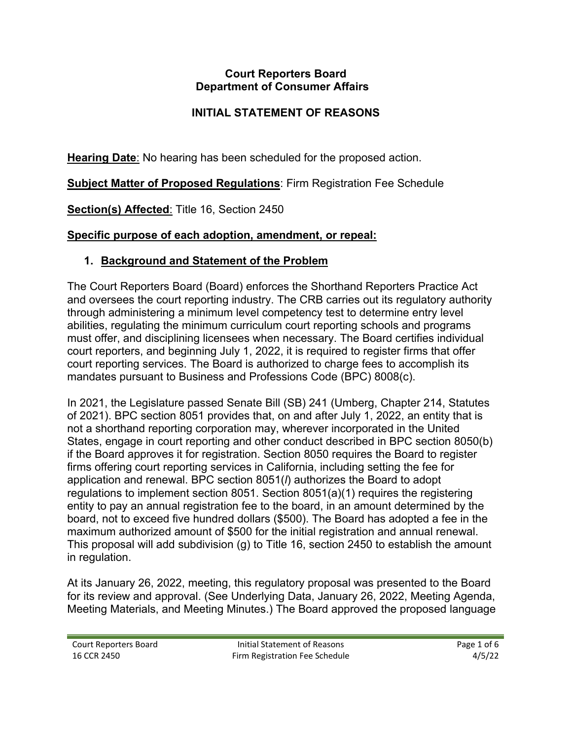#### **Court Reporters Board Department of Consumer Affairs**

## **INITIAL STATEMENT OF REASONS**

**Hearing Date**: No hearing has been scheduled for the proposed action.

**Subject Matter of Proposed Regulations**: Firm Registration Fee Schedule

**Section(s) Affected**: Title 16, Section 2450

### **Specific purpose of each adoption, amendment, or repeal:**

### **1. Background and Statement of the Problem**

 court reporters, and beginning July 1, 2022, it is required to register firms that offer court reporting services. The Board is authorized to charge fees to accomplish its The Court Reporters Board (Board) enforces the Shorthand Reporters Practice Act and oversees the court reporting industry. The CRB carries out its regulatory authority through administering a minimum level competency test to determine entry level abilities, regulating the minimum curriculum court reporting schools and programs must offer, and disciplining licensees when necessary. The Board certifies individual mandates pursuant to Business and Professions Code (BPC) 8008(c).

 if the Board approves it for registration. Section 8050 requires the Board to register In 2021, the Legislature passed Senate Bill (SB) 241 (Umberg, Chapter 214, Statutes of 2021). BPC section 8051 provides that, on and after July 1, 2022, an entity that is not a shorthand reporting corporation may, wherever incorporated in the United States, engage in court reporting and other conduct described in BPC section 8050(b) firms offering court reporting services in California, including setting the fee for application and renewal. BPC section 8051(*l*) authorizes the Board to adopt regulations to implement section 8051. Section 8051(a)(1) requires the registering entity to pay an annual registration fee to the board, in an amount determined by the board, not to exceed five hundred dollars (\$500). The Board has adopted a fee in the maximum authorized amount of \$500 for the initial registration and annual renewal. This proposal will add subdivision (g) to Title 16, section 2450 to establish the amount in regulation.

At its January 26, 2022, meeting, this regulatory proposal was presented to the Board for its review and approval. (See Underlying Data, January 26, 2022, Meeting Agenda, Meeting Materials, and Meeting Minutes.) The Board approved the proposed language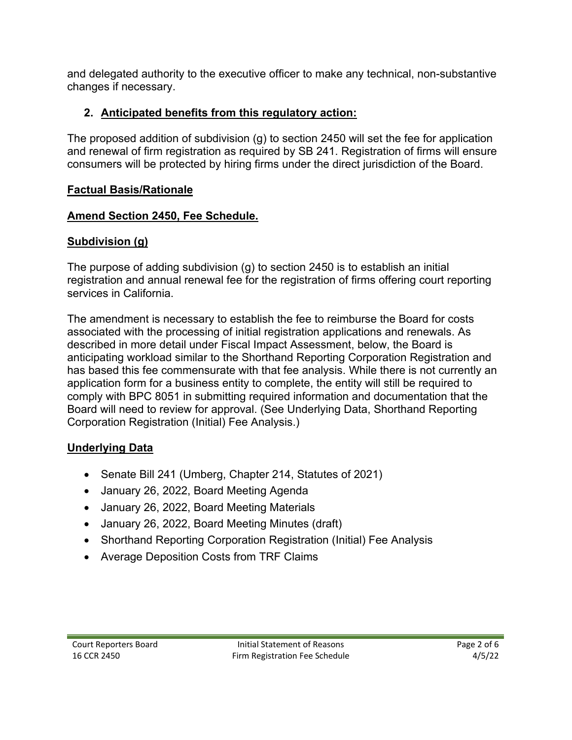and delegated authority to the executive officer to make any technical, non-substantive changes if necessary.

# **2. Anticipated benefits from this regulatory action:**

 consumers will be protected by hiring firms under the direct jurisdiction of the Board. The proposed addition of subdivision (g) to section 2450 will set the fee for application and renewal of firm registration as required by SB 241. Registration of firms will ensure

## **Factual Basis/Rationale**

## **Amend Section 2450, Fee Schedule.**

# **Subdivision (g)**

 registration and annual renewal fee for the registration of firms offering court reporting The purpose of adding subdivision (g) to section 2450 is to establish an initial services in California.

 The amendment is necessary to establish the fee to reimburse the Board for costs associated with the processing of initial registration applications and renewals. As described in more detail under Fiscal Impact Assessment, below, the Board is anticipating workload similar to the Shorthand Reporting Corporation Registration and has based this fee commensurate with that fee analysis. While there is not currently an application form for a business entity to complete, the entity will still be required to comply with BPC 8051 in submitting required information and documentation that the Board will need to review for approval. (See Underlying Data, Shorthand Reporting Corporation Registration (Initial) Fee Analysis.)

# **Underlying Data**

- Senate Bill 241 (Umberg, Chapter 214, Statutes of 2021)
- January 26, 2022, Board Meeting Agenda
- January 26, 2022, Board Meeting Materials
- January 26, 2022, Board Meeting Minutes (draft)
- Shorthand Reporting Corporation Registration (Initial) Fee Analysis
- Average Deposition Costs from TRF Claims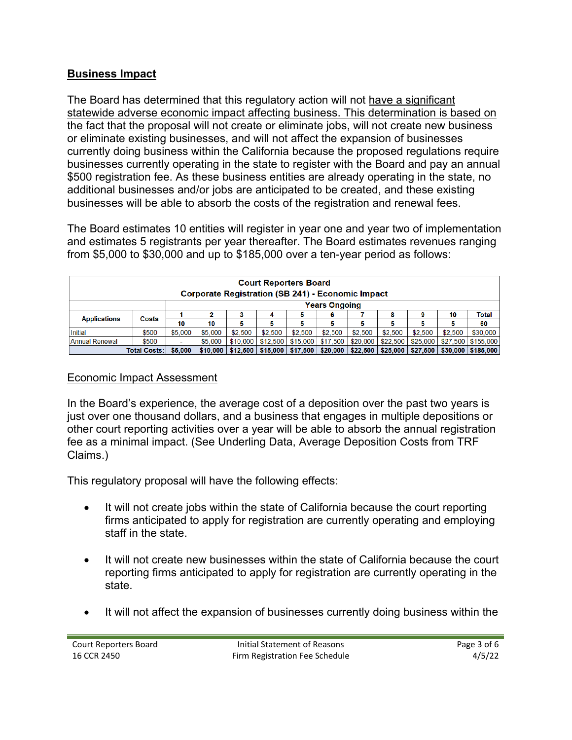### **Business Impact**

The Board has determined that this regulatory action will not have a significant statewide adverse economic impact affecting business. This determination is based on the fact that the proposal will not create or eliminate jobs, will not create new business or eliminate existing businesses, and will not affect the expansion of businesses currently doing business within the California because the proposed regulations require businesses currently operating in the state to register with the Board and pay an annual \$500 registration fee. As these business entities are already operating in the state, no additional businesses and/or jobs are anticipated to be created, and these existing businesses will be able to absorb the costs of the registration and renewal fees.

The Board estimates 10 entities will register in year one and year two of implementation and estimates 5 registrants per year thereafter. The Board estimates revenues ranging from \$5,000 to \$30,000 and up to \$185,000 over a ten-year period as follows:

| <b>Court Reporters Board</b><br><b>Corporate Registration (SB 241) - Economic Impact</b> |       |                          |          |          |          |                                            |          |          |          |          |         |                                  |
|------------------------------------------------------------------------------------------|-------|--------------------------|----------|----------|----------|--------------------------------------------|----------|----------|----------|----------|---------|----------------------------------|
| <b>Years Ongoing</b>                                                                     |       |                          |          |          |          |                                            |          |          |          |          |         |                                  |
| <b>Applications</b>                                                                      | Costs |                          |          |          |          | Ð                                          |          |          |          |          | 10      | Total                            |
|                                                                                          |       | 10                       | 10       |          |          |                                            |          |          |          |          |         | 60                               |
| Initial                                                                                  | \$500 | \$5,000                  | \$5,000  | \$2,500  | \$2,500  | \$2,500                                    | \$2.500  | \$2.500  | \$2.500  | \$2,500  | \$2,500 | \$30,000                         |
| Annual Renewal                                                                           | \$500 | $\overline{\phantom{a}}$ | \$5,000  | \$10,000 | \$12.500 | \$15,000                                   | \$17,500 | \$20,000 | \$22,500 | \$25,000 |         | \$27,500   \$155,000             |
| <b>Total Costs:</b>                                                                      |       | \$5,000                  | \$10.000 |          |          | $$12,500$   \$15,000   \$17,500   \$20,000 |          | \$22,500 | \$25,000 |          |         | $$27,500$   \$30,000   \$185,000 |

#### Economic Impact Assessment

In the Board's experience, the average cost of a deposition over the past two years is just over one thousand dollars, and a business that engages in multiple depositions or other court reporting activities over a year will be able to absorb the annual registration fee as a minimal impact. (See Underling Data, Average Deposition Costs from TRF Claims.)

This regulatory proposal will have the following effects:

- It will not create jobs within the state of California because the court reporting firms anticipated to apply for registration are currently operating and employing staff in the state.
- It will not create new businesses within the state of California because the court reporting firms anticipated to apply for registration are currently operating in the state.
- It will not affect the expansion of businesses currently doing business within the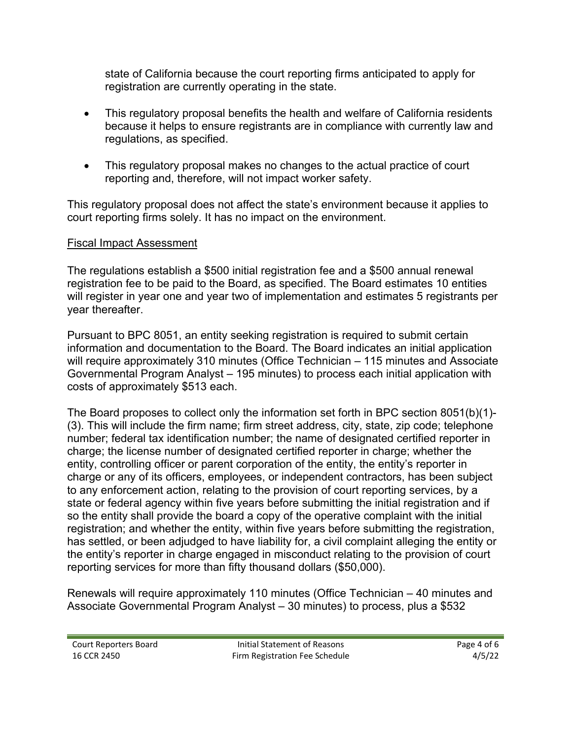state of California because the court reporting firms anticipated to apply for registration are currently operating in the state.

- • This regulatory proposal benefits the health and welfare of California residents because it helps to ensure registrants are in compliance with currently law and regulations, as specified.
- This regulatory proposal makes no changes to the actual practice of court reporting and, therefore, will not impact worker safety.

This regulatory proposal does not affect the state's environment because it applies to court reporting firms solely. It has no impact on the environment.

### Fiscal Impact Assessment

The regulations establish a \$500 initial registration fee and a \$500 annual renewal registration fee to be paid to the Board, as specified. The Board estimates 10 entities will register in year one and year two of implementation and estimates 5 registrants per year thereafter.

Pursuant to BPC 8051, an entity seeking registration is required to submit certain information and documentation to the Board. The Board indicates an initial application will require approximately 310 minutes (Office Technician – 115 minutes and Associate Governmental Program Analyst – 195 minutes) to process each initial application with costs of approximately \$513 each.

The Board proposes to collect only the information set forth in BPC section 8051(b)(1)- (3). This will include the firm name; firm street address, city, state, zip code; telephone number; federal tax identification number; the name of designated certified reporter in charge; the license number of designated certified reporter in charge; whether the entity, controlling officer or parent corporation of the entity, the entity's reporter in charge or any of its officers, employees, or independent contractors, has been subject to any enforcement action, relating to the provision of court reporting services, by a state or federal agency within five years before submitting the initial registration and if so the entity shall provide the board a copy of the operative complaint with the initial registration; and whether the entity, within five years before submitting the registration, has settled, or been adjudged to have liability for, a civil complaint alleging the entity or the entity's reporter in charge engaged in misconduct relating to the provision of court reporting services for more than fifty thousand dollars (\$50,000).

Renewals will require approximately 110 minutes (Office Technician – 40 minutes and Associate Governmental Program Analyst – 30 minutes) to process, plus a \$532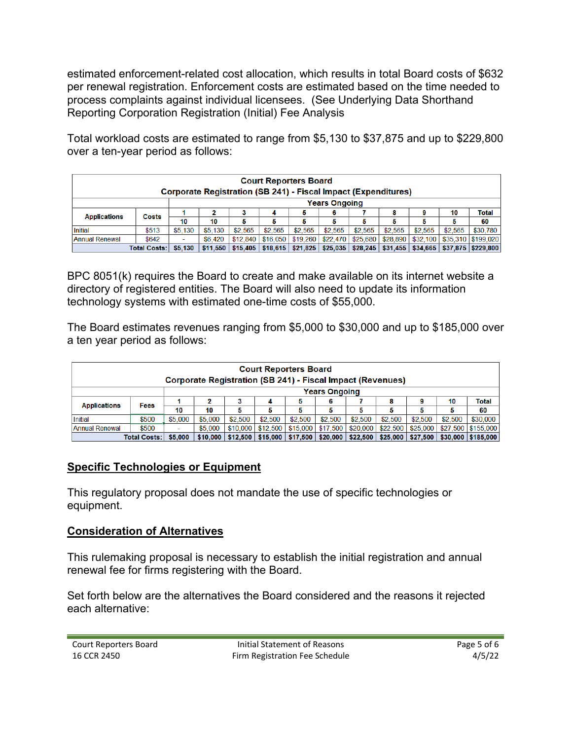process complaints against individual licensees. (See Underlying Data Shorthand estimated enforcement-related cost allocation, which results in total Board costs of \$632 per renewal registration. Enforcement costs are estimated based on the time needed to Reporting Corporation Registration (Initial) Fee Analysis

Total workload costs are estimated to range from \$5,130 to \$37,875 and up to \$229,800 over a ten-year period as follows:

| <b>Court Reporters Board</b><br><b>Corporate Registration (SB 241) - Fiscal Impact (Expenditures)</b> |                     |         |         |                                                                                        |          |          |          |          |         |                     |         |                      |
|-------------------------------------------------------------------------------------------------------|---------------------|---------|---------|----------------------------------------------------------------------------------------|----------|----------|----------|----------|---------|---------------------|---------|----------------------|
| <b>Years Ongoing</b>                                                                                  |                     |         |         |                                                                                        |          |          |          |          |         |                     |         |                      |
| <b>Applications</b>                                                                                   | Costs               |         |         | з                                                                                      | 4        | 5        | 6        |          | 8       |                     | 10      | Total                |
|                                                                                                       |                     | 10      | 10      | 5                                                                                      |          | 5        |          |          |         |                     |         | 60                   |
| Initial                                                                                               | \$513               | \$5,130 | \$5,130 | \$2.565                                                                                | \$2.565  | \$2.565  | \$2.565  | \$2.565  | \$2.565 | \$2.565             | \$2.565 | \$30,780             |
| Annual Renewal                                                                                        | \$642               |         | \$6,420 | \$12.840                                                                               | \$16,050 | \$19,260 | \$22,470 | \$25,680 |         | $$28,890$ $$32,100$ |         | \$35,310   \$199,020 |
|                                                                                                       | <b>Total Costs:</b> | \$5,130 |         | $$11,550$   \$15,405   \$18,615   \$21,825   \$25,035   \$28,245   \$31,455   \$34,665 |          |          |          |          |         |                     |         | $$37.875$ $$229.800$ |

BPC 8051(k) requires the Board to create and make available on its internet website a directory of registered entities. The Board will also need to update its information technology systems with estimated one-time costs of \$55,000.

The Board estimates revenues ranging from \$5,000 to \$30,000 and up to \$185,000 over a ten year period as follows:

| <b>Court Reporters Board</b><br><b>Corporate Registration (SB 241) - Fiscal Impact (Revenues)</b> |       |         |          |          |          |          |          |          |                         |          |         |                      |
|---------------------------------------------------------------------------------------------------|-------|---------|----------|----------|----------|----------|----------|----------|-------------------------|----------|---------|----------------------|
| <b>Years Ongoing</b>                                                                              |       |         |          |          |          |          |          |          |                         |          |         |                      |
| <b>Applications</b>                                                                               | Fees  |         |          | 3        | 4        |          | 6        |          | 8                       |          | 10      | <b>Total</b>         |
|                                                                                                   |       | 10      | 10       | 5        | 5        |          | 5        |          |                         |          |         | 60                   |
| <b>Initial</b>                                                                                    | \$500 | \$5,000 | \$5,000  | \$2,500  | \$2,500  | \$2,500  | \$2,500  | \$2,500  | \$2,500                 | \$2,500  | \$2,500 | \$30,000             |
| Annual Renewal                                                                                    | \$500 |         | \$5,000  | \$10,000 | \$12,500 | \$15,000 | \$17,500 | \$20,000 | \$22,500                | \$25,000 |         | \$27,500   \$155,000 |
| <b>Total Costs:</b>                                                                               |       | \$5,000 | \$10,000 | \$12,500 | \$15,000 | \$17,500 | \$20,000 |          | $$22.500 \; \; $25.000$ | \$27.500 |         | \$30,000   \$185,000 |

### **Specific Technologies or Equipment**

This regulatory proposal does not mandate the use of specific technologies or equipment.

### **Consideration of Alternatives**

This rulemaking proposal is necessary to establish the initial registration and annual renewal fee for firms registering with the Board.

Set forth below are the alternatives the Board considered and the reasons it rejected each alternative: